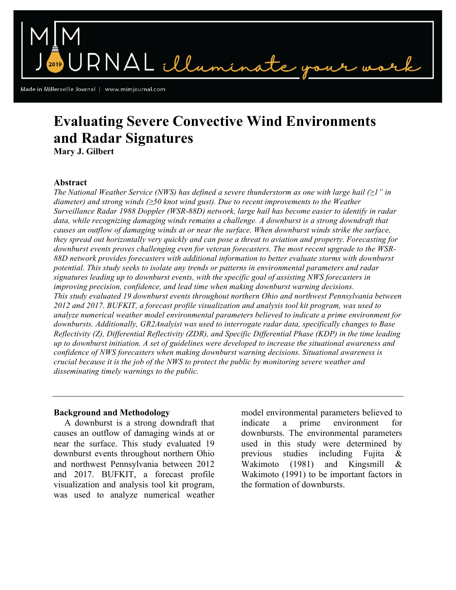Made in Millersville Journal | www.mimjournal.com

# **Evaluating Severe Convective Wind Environments and Radar Signatures**

RNAL illumin

**Mary J. Gilbert**

## **Abstract**

*The National Weather Service (NWS) has defined a severe thunderstorm as one with large hail (≥1" in diameter) and strong winds (≥50 knot wind gust). Due to recent improvements to the Weather Surveillance Radar 1988 Doppler (WSR-88D) network, large hail has become easier to identify in radar data, while recognizing damaging winds remains a challenge. A downburst is a strong downdraft that causes an outflow of damaging winds at or near the surface. When downburst winds strike the surface, they spread out horizontally very quickly and can pose a threat to aviation and property. Forecasting for downburst events proves challenging even for veteran forecasters. The most recent upgrade to the WSR-88D network provides forecasters with additional information to better evaluate storms with downburst potential. This study seeks to isolate any trends or patterns in environmental parameters and radar signatures leading up to downburst events, with the specific goal of assisting NWS forecasters in improving precision, confidence, and lead time when making downburst warning decisions. This study evaluated 19 downburst events throughout northern Ohio and northwest Pennsylvania between 2012 and 2017. BUFKIT, a forecast profile visualization and analysis tool kit program, was used to analyze numerical weather model environmental parameters believed to indicate a prime environment for downbursts. Additionally, GR2Analyist was used to interrogate radar data, specifically changes to Base Reflectivity (Z), Differential Reflectivity (ZDR), and Specific Differential Phase (KDP) in the time leading up to downburst initiation. A set of guidelines were developed to increase the situational awareness and confidence of NWS forecasters when making downburst warning decisions. Situational awareness is crucial because it is the job of the NWS to protect the public by monitoring severe weather and disseminating timely warnings to the public.*

## **Background and Methodology**

A downburst is a strong downdraft that causes an outflow of damaging winds at or near the surface. This study evaluated 19 downburst events throughout northern Ohio and northwest Pennsylvania between 2012 and 2017. BUFKIT, a forecast profile visualization and analysis tool kit program, was used to analyze numerical weather model environmental parameters believed to indicate a prime environment downbursts. The environmental parameters used in this study were determined by previous studies including Fujita & Wakimoto (1981) and Kingsmill & Wakimoto (1991) to be important factors in the formation of downbursts.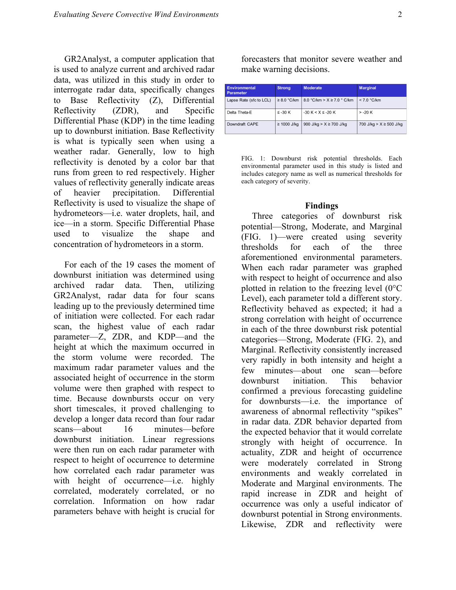GR2Analyst, a computer application that is used to analyze current and archived radar data, was utilized in this study in order to interrogate radar data, specifically changes to Base Reflectivity (Z), Differential Reflectivity (ZDR), and Specific Differential Phase (KDP) in the time leading up to downburst initiation. Base Reflectivity is what is typically seen when using a weather radar. Generally, low to high reflectivity is denoted by a color bar that runs from green to red respectively. Higher values of reflectivity generally indicate areas of heavier precipitation. Differential Reflectivity is used to visualize the shape of hydrometeors—i.e. water droplets, hail, and ice—in a storm. Specific Differential Phase used to visualize the shape and concentration of hydrometeors in a storm.

For each of the 19 cases the moment of downburst initiation was determined using archived radar data. Then, utilizing GR2Analyst, radar data for four scans leading up to the previously determined time of initiation were collected. For each radar scan, the highest value of each radar parameter—Z, ZDR, and KDP—and the height at which the maximum occurred in the storm volume were recorded. The maximum radar parameter values and the associated height of occurrence in the storm volume were then graphed with respect to time. Because downbursts occur on very short timescales, it proved challenging to develop a longer data record than four radar scans—about 16 minutes—before downburst initiation. Linear regressions were then run on each radar parameter with respect to height of occurrence to determine how correlated each radar parameter was with height of occurrence—i.e. highly correlated, moderately correlated, or no correlation. Information on how radar parameters behave with height is crucial for

forecasters that monitor severe weather and make warning decisions.

| <b>Environmental</b><br>Parameter | <b>Strong</b>    | <b>Moderate</b>                | <b>Marginal</b>           |
|-----------------------------------|------------------|--------------------------------|---------------------------|
| Lapse Rate (sfc to LCL)           | $\geq 8.0$ °C/km | 8.0 °C/km > $X \ge 7.0$ ° C/km | < 7.0 °C/km               |
| Delta Theta-E                     | $\le$ -30 K      | $-30 K < X \le -20 K$          | $> -20 K$                 |
| Downdraft CAPE                    | $\geq 1000$ J/kg | 900 J/kg > $X \ge 700$ J/kg    | 700 J/kg > $X$ ≥ 500 J/kg |

FIG. 1: Downburst risk potential thresholds. Each environmental parameter used in this study is listed and includes category name as well as numerical thresholds for each category of severity.

#### **Findings**

Three categories of downburst risk potential—Strong, Moderate, and Marginal (FIG. 1)—were created using severity thresholds for each of the three aforementioned environmental parameters. When each radar parameter was graphed with respect to height of occurrence and also plotted in relation to the freezing level (0°C Level), each parameter told a different story. Reflectivity behaved as expected; it had a strong correlation with height of occurrence in each of the three downburst risk potential categories—Strong, Moderate (FIG. 2), and Marginal. Reflectivity consistently increased very rapidly in both intensity and height a few minutes—about one scan—before downburst initiation. This behavior confirmed a previous forecasting guideline for downbursts—i.e. the importance of awareness of abnormal reflectivity "spikes" in radar data. ZDR behavior departed from the expected behavior that it would correlate strongly with height of occurrence. In actuality, ZDR and height of occurrence were moderately correlated in Strong environments and weakly correlated in Moderate and Marginal environments. The rapid increase in ZDR and height of occurrence was only a useful indicator of downburst potential in Strong environments. Likewise, ZDR and reflectivity were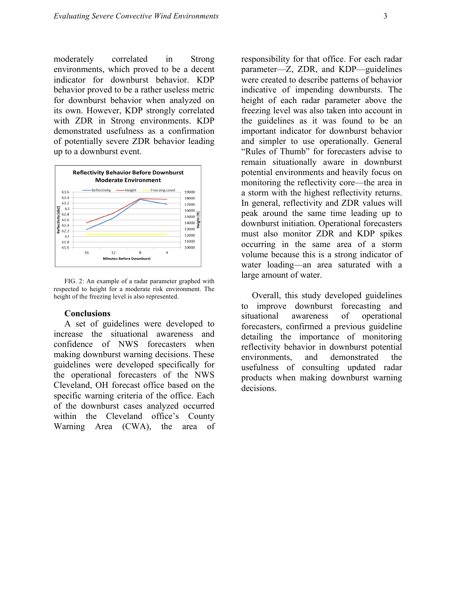moderately correlated in Strong environments, which proved to be a decent indicator for downburst behavior. KDP behavior proved to be a rather useless metric for downburst behavior when analyzed on its own. However, KDP strongly correlated with ZDR in Strong environments. KDP demonstrated usefulness as a confirmation of potentially severe ZDR behavior leading up to a downburst event.



FIG. 2: An example of a radar parameter graphed with respected to height for a moderate risk environment. The height of the freezing level is also represented.

#### **Conclusions**

A set of guidelines were developed to increase the situational awareness and confidence of NWS forecasters when making downburst warning decisions. These guidelines were developed specifically for the operational forecasters of the NWS Cleveland, OH forecast office based on the specific warning criteria of the office. Each of the downburst cases analyzed occurred within the Cleveland office's County Warning Area (CWA), the area of responsibility for that office. For each radar parameter—Z, ZDR, and KDP—guidelines were created to describe patterns of behavior indicative of impending downbursts. The height of each radar parameter above the freezing level was also taken into account in the guidelines as it was found to be an important indicator for downburst behavior and simpler to use operationally. General "Rules of Thumb" for forecasters advise to remain situationally aware in downburst potential environments and heavily focus on monitoring the reflectivity core—the area in a storm with the highest reflectivity returns. In general, reflectivity and ZDR values will peak around the same time leading up to downburst initiation. Operational forecasters must also monitor ZDR and KDP spikes occurring in the same area of a storm volume because this is a strong indicator of water loading—an area saturated with a large amount of water.

Overall, this study developed guidelines to improve downburst forecasting and situational awareness of operational forecasters, confirmed a previous guideline detailing the importance of monitoring reflectivity behavior in downburst potential environments, and demonstrated the usefulness of consulting updated radar products when making downburst warning decisions.